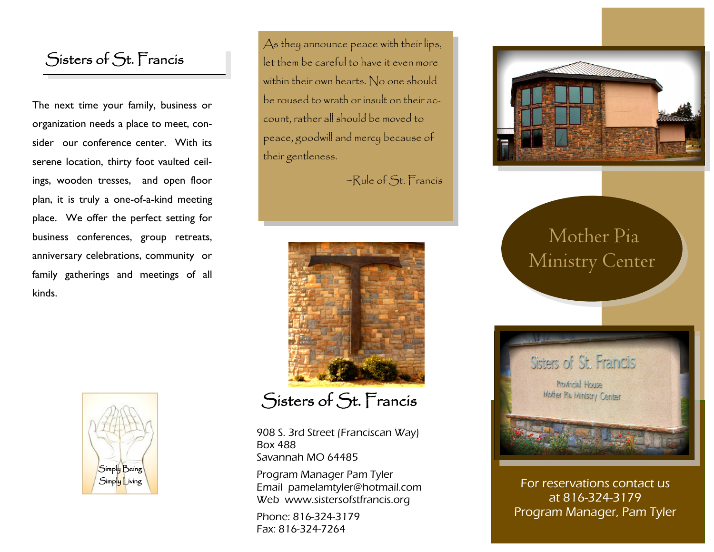### Sisters of St. Francis

The next time your family, business or organization needs a place to meet, consider our conference center. With its serene location, thirty foot vaulted ceilings, wooden tresses, and open floor plan, it is truly a one-of-a-kind meeting place. We offer the perfect setting for business conferences, group retreats, anniversary celebrations, community or family gatherings and meetings of all kinds.



As they announce peace with their lips, let them be careful to have it even more within their own hearts. No one should be roused to wrath or insult on their account, rather all should be moved to peace, goodwill and mercy because of their gentleness.

~Rule of St. Francis



## Sisters of St. Francis

908 S. 3rd Street (Franciscan Way) Box 488 Savannah MO 64485

Program Manager Pam Tyler Email pamelamtyler@hotmail.com Web www.sistersofstfrancis.org

Phone: 816-324-3179 Fax: 816-324-7264



# Mother Pia Ministry Center



For reservations contact us at 816-324-3179 Program Manager, Pam Tyler